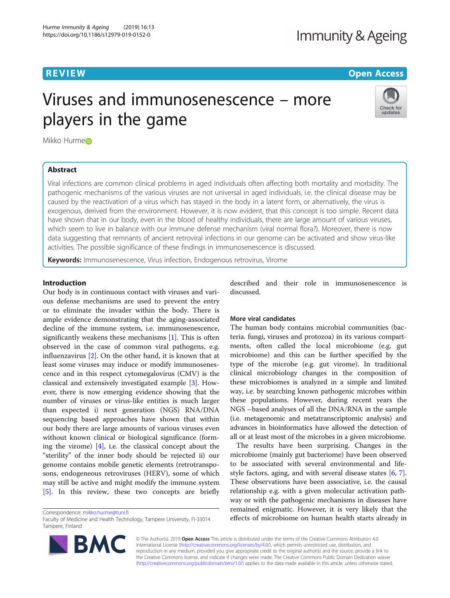## **REVIEW CONTROL** CONTROL CONTROL CONTROL CONTROL CONTROL CONTROL CONTROL CONTROL CONTROL CONTROL CONTROL CONTROL

# Viruses and immunosenescence – more players in the game



Mikko Hurme<sub>D</sub>

## Abstract

Viral infections are common clinical problems in aged individuals often affecting both mortality and morbidity. The pathogenic mechanisms of the various viruses are not universal in aged individuals, i.e. the clinical disease may be caused by the reactivation of a virus which has stayed in the body in a latent form, or alternatively, the virus is exogenous, derived from the environment. However, it is now evident, that this concept is too simple. Recent data have shown that in our body, even in the blood of healthy individuals, there are large amount of various viruses, which seem to live in balance with our immune defense mechanism (viral normal flora?). Moreover, there is now data suggesting that remnants of ancient retroviral infections in our genome can be activated and show virus-like activities. The possible significance of these findings in immunosenescence is discussed.

Keywords: Immunosenescence, Virus infection, Endogenous retrovirus, Virome

## Introduction

Our body is in continuous contact with viruses and various defense mechanisms are used to prevent the entry or to eliminate the invader within the body. There is ample evidence demonstrating that the aging-associated decline of the immune system, i.e. immunosenescence, significantly weakens these mechanisms [\[1](#page-3-0)]. This is often observed in the case of common viral pathogens, e.g. influenzavirus [[2\]](#page-3-0). On the other hand, it is known that at least some viruses may induce or modify immunosenescence and in this respect cytomegalovirus (CMV) is the classical and extensively investigated example [\[3](#page-3-0)]. However, there is now emerging evidence showing that the number of viruses or virus-like entities is much larger than expected i) next generation (NGS) RNA/DNA sequencing based approaches have shown that within our body there are large amounts of various viruses even without known clinical or biological significance (forming the virome) [[4\]](#page-3-0), i.e. the classical concept about the "sterility" of the inner body should be rejected ii) our genome contains mobile genetic elements (retrotransposons, endogeneous retroviruses (HERV), some of which may still be active and might modify the immune system [[5\]](#page-3-0). In this review, these two concepts are briefly

Correspondence: [mikko.hurme@tuni.fi](mailto:mikko.hurme@tuni.fi)



## More viral candidates

The human body contains microbial communities (bacteria. fungi, viruses and protozoa) in its various compartments, often called the local microbiome (e.g. gut microbiome) and this can be further specified by the type of the microbe (e.g. gut virome). In traditional clinical microbiology changes in the composition of these microbiomes is analyzed in a simple and limited way, i.e. by searching known pathogenic microbes within these populations. However, during recent years the NGS –based analyses of all the DNA/RNA in the sample (i.e. metagenomic and metatranscriptomic analysis) and advances in bioinformatics have allowed the detection of all or at least most of the microbes in a given microbiome.

The results have been surprising. Changes in the microbiome (mainly gut bacteriome) have been observed to be associated with several environmental and lifestyle factors, aging, and with several disease states [\[6,](#page-3-0) [7](#page-3-0)]. These observations have been associative, i.e. the causal relationship e.g. with a given molecular activation pathway or with the pathogenic mechanisms in diseases have remained enigmatic. However, it is very likely that the effects of microbiome on human health starts already in



Faculty of Medicine and Health Technology, Tampere University, FI-33014 Tampere, Finland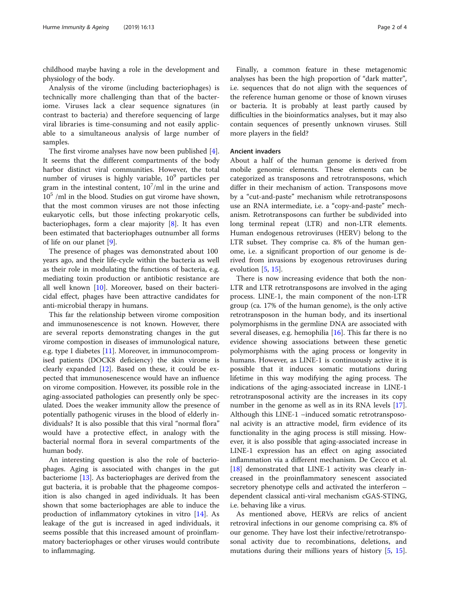childhood maybe having a role in the development and physiology of the body.

Analysis of the virome (including bacteriophages) is technically more challenging than that of the bacteriome. Viruses lack a clear sequence signatures (in contrast to bacteria) and therefore sequencing of large viral libraries is time-consuming and not easily applicable to a simultaneous analysis of large number of samples.

The first virome analyses have now been published [\[4](#page-3-0)]. It seems that the different compartments of the body harbor distinct viral communities. However, the total number of viruses is highly variable,  $10^9$  particles per gram in the intestinal content,  $10^7$ /ml in the urine and  $10^5$  /ml in the blood. Studies on gut virome have shown, that the most common viruses are not those infecting eukaryotic cells, but those infecting prokaryotic cells, bacteriophages, form a clear majority  $[8]$  $[8]$ . It has even been estimated that bacteriophages outnumber all forms of life on our planet [[9\]](#page-3-0).

The presence of phages was demonstrated about 100 years ago, and their life-cycle within the bacteria as well as their role in modulating the functions of bacteria, e.g. mediating toxin production or antibiotic resistance are all well known [\[10\]](#page-3-0). Moreover, based on their bactericidal effect, phages have been attractive candidates for anti-microbial therapy in humans.

This far the relationship between virome composition and immunosenescence is not known. However, there are several reports demonstrating changes in the gut virome compostion in diseases of immunological nature, e.g. type I diabetes [[11\]](#page-3-0). Moreover, in immunocompromised patients (DOCK8 deficiency) the skin virome is clearly expanded [[12](#page-3-0)]. Based on these, it could be expected that immunosenescence would have an influence on virome composition. However, its possible role in the aging-associated pathologies can presently only be speculated. Does the weaker immunity allow the presence of potentially pathogenic viruses in the blood of elderly individuals? It is also possible that this viral "normal flora" would have a protective effect, in analogy with the bacterial normal flora in several compartments of the human body.

An interesting question is also the role of bacteriophages. Aging is associated with changes in the gut bacteriome [[13](#page-3-0)]. As bacteriophages are derived from the gut bacteria, it is probable that the phageome composition is also changed in aged individuals. It has been shown that some bacteriophages are able to induce the production of inflammatory cytokines in vitro [\[14\]](#page-3-0). As leakage of the gut is increased in aged individuals, it seems possible that this increased amount of proinflammatory bacteriophages or other viruses would contribute to inflammaging.

Finally, a common feature in these metagenomic analyses has been the high proportion of "dark matter", i.e. sequences that do not align with the sequences of the reference human genome or those of known viruses or bacteria. It is probably at least partly caused by difficulties in the bioinformatics analyses, but it may also contain sequences of presently unknown viruses. Still more players in the field?

## Ancient invaders

About a half of the human genome is derived from mobile genomic elements. These elements can be categorized as transposons and retrotransposons, which differ in their mechanism of action. Transposons move by a "cut-and-paste" mechanism while retrotransposons use an RNA intermediate, i.e. a "copy-and-paste" mechanism. Retrotransposons can further be subdivided into long terminal repeat (LTR) and non-LTR elements. Human endogenous retroviruses (HERV) belong to the LTR subset. They comprise ca. 8% of the human genome, i.e. a significant proportion of our genome is derived from invasions by exogenous retroviruses during evolution [\[5,](#page-3-0) [15\]](#page-3-0).

There is now increasing evidence that both the non-LTR and LTR retrotransposons are involved in the aging process. LINE-1, the main component of the non-LTR group (ca. 17% of the human genome), is the only active retrotransposon in the human body, and its insertional polymorphisms in the germline DNA are associated with several diseases, e.g. hemophilia [[16](#page-3-0)]. This far there is no evidence showing associations between these genetic polymorphisms with the aging process or longevity in humans. However, as LINE-1 is continuously active it is possible that it induces somatic mutations during lifetime in this way modifying the aging process. The indications of the aging-associated increase in LINE-1 retrotransposonal activity are the increases in its copy number in the genome as well as in its RNA levels [\[17](#page-3-0)]. Although this LINE-1 –induced somatic retrotransposonal acivity is an attractive model, firm evidence of its functionality in the aging process is still missing. However, it is also possible that aging-associated increase in LINE-1 expression has an effect on aging associated inflammation via a different mechanism. De Cecco et al. [[18\]](#page-3-0) demonstrated that LINE-1 activity was clearly increased in the proinflammatory senescent associated secretory phenotype cells and activated the interferon – dependent classical anti-viral mechanism cGAS-STING, i.e. behaving like a virus.

As mentioned above, HERVs are relics of ancient retroviral infections in our genome comprising ca. 8% of our genome. They have lost their infective/retrotransposonal activity due to recombinations, deletions, and mutations during their millions years of history [\[5](#page-3-0), [15](#page-3-0)].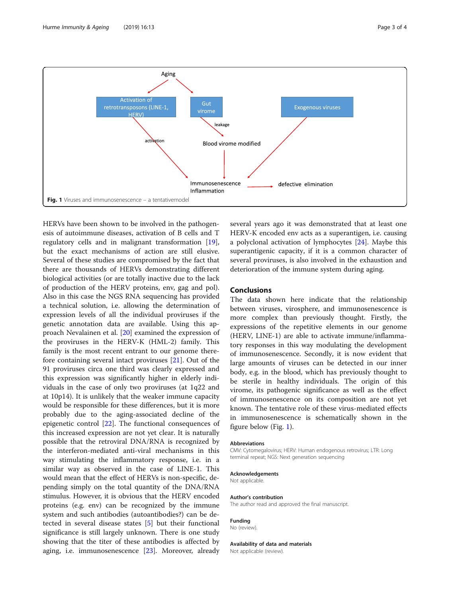

HERVs have been shown to be involved in the pathogenesis of autoimmune diseases, activation of B cells and T regulatory cells and in malignant transformation [\[19](#page-3-0)], but the exact mechanisms of action are still elusive. Several of these studies are compromised by the fact that there are thousands of HERVs demonstrating different biological activities (or are totally inactive due to the lack of production of the HERV proteins, env, gag and pol). Also in this case the NGS RNA sequencing has provided a technical solution, i.e. allowing the determination of expression levels of all the individual proviruses if the genetic annotation data are available. Using this approach Nevalainen et al. [\[20](#page-3-0)] examined the expression of the proviruses in the HERV-K (HML-2) family. This family is the most recent entrant to our genome therefore containing several intact proviruses [[21](#page-3-0)]. Out of the 91 proviruses circa one third was clearly expressed and this expression was significantly higher in elderly individuals in the case of only two proviruses (at 1q22 and at 10p14). It is unlikely that the weaker immune capacity would be responsible for these differences, but it is more probably due to the aging-associated decline of the epigenetic control [\[22](#page-3-0)]. The functional consequences of this increased expression are not yet clear. It is naturally possible that the retroviral DNA/RNA is recognized by the interferon-mediated anti-viral mechanisms in this way stimulating the inflammatory response, i.e. in a similar way as observed in the case of LINE-1. This would mean that the effect of HERVs is non-specific, depending simply on the total quantity of the DNA/RNA stimulus. However, it is obvious that the HERV encoded proteins (e.g. env) can be recognized by the immune system and such antibodies (autoantibodies?) can be detected in several disease states [[5\]](#page-3-0) but their functional significance is still largely unknown. There is one study showing that the titer of these antibodies is affected by aging, i.e. immunosenescence [[23\]](#page-3-0). Moreover, already

several years ago it was demonstrated that at least one HERV-K encoded env acts as a superantigen, i.e. causing a polyclonal activation of lymphocytes [\[24\]](#page-3-0). Maybe this superantigenic capacity, if it is a common character of several proviruses, is also involved in the exhaustion and deterioration of the immune system during aging.

## Conclusions

The data shown here indicate that the relationship between viruses, virosphere, and immunosenescence is more complex than previously thought. Firstly, the expressions of the repetitive elements in our genome (HERV, LINE-1) are able to activate immune/inflammatory responses in this way modulating the development of immunosenescence. Secondly, it is now evident that large amounts of viruses can be detected in our inner body, e.g. in the blood, which has previously thought to be sterile in healthy individuals. The origin of this virome, its pathogenic significance as well as the effect of immunosenescence on its composition are not yet known. The tentative role of these virus-mediated effects in immunosenescence is schematically shown in the figure below (Fig. 1).

#### Abbreviations

CMV: Cytomegalovirus; HERV: Human endogenous retrovirus; LTR: Long terminal repeat; NGS: Next generation sequencing

## Acknowledgements

Not applicable.

#### Author's contribution

The author read and approved the final manuscript.

#### Funding

No (review).

#### Availability of data and materials

Not applicable (review).